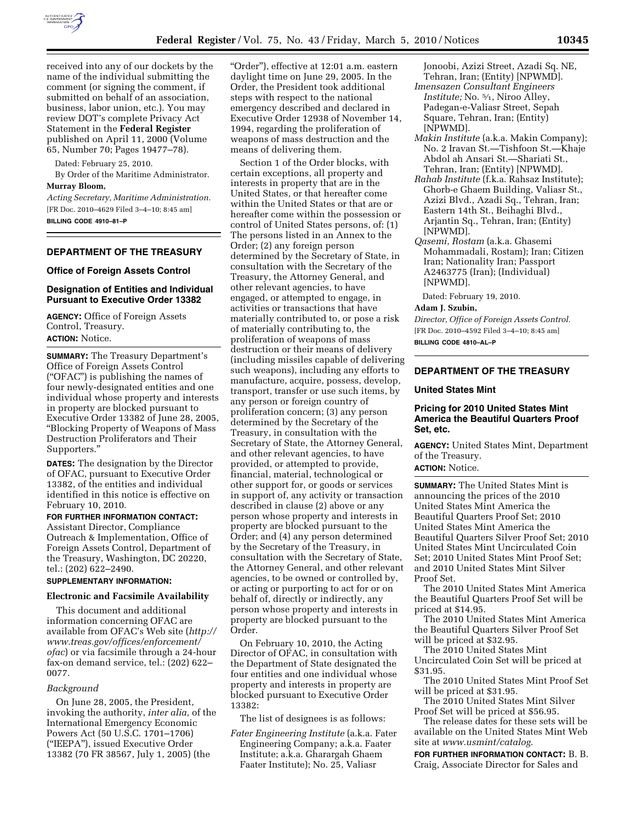

received into any of our dockets by the name of the individual submitting the comment (or signing the comment, if submitted on behalf of an association, business, labor union, etc.). You may review DOT's complete Privacy Act Statement in the **Federal Register**  published on April 11, 2000 (Volume 65, Number 70; Pages 19477–78).

Dated: February 25, 2010.

By Order of the Maritime Administrator. **Murray Bloom,** 

*Acting Secretary, Maritime Administration.*  [FR Doc. 2010–4629 Filed 3–4–10; 8:45 am] **BILLING CODE 4910–81–P** 

## **DEPARTMENT OF THE TREASURY**

#### **Office of Foreign Assets Control**

# **Designation of Entities and Individual Pursuant to Executive Order 13382**

**AGENCY:** Office of Foreign Assets Control, Treasury. **ACTION:** Notice.

**SUMMARY:** The Treasury Department's Office of Foreign Assets Control (''OFAC'') is publishing the names of four newly-designated entities and one individual whose property and interests in property are blocked pursuant to Executive Order 13382 of June 28, 2005, ''Blocking Property of Weapons of Mass Destruction Proliferators and Their Supporters.''

**DATES:** The designation by the Director of OFAC, pursuant to Executive Order 13382, of the entities and individual identified in this notice is effective on February 10, 2010.

## **FOR FURTHER INFORMATION CONTACT:**

Assistant Director, Compliance Outreach & Implementation, Office of Foreign Assets Control, Department of the Treasury, Washington, DC 20220, tel.: (202) 622–2490.

### **SUPPLEMENTARY INFORMATION:**

#### **Electronic and Facsimile Availability**

This document and additional information concerning OFAC are available from OFAC's Web site (*http:// www.treas.gov/offices/enforcement/ ofac*) or via facsimile through a 24-hour fax-on demand service, tel.: (202) 622– 0077.

### *Background*

On June 28, 2005, the President, invoking the authority, *inter alia,* of the International Emergency Economic Powers Act (50 U.S.C. 1701–1706) (''IEEPA''), issued Executive Order 13382 (70 FR 38567, July 1, 2005) (the

''Order''), effective at 12:01 a.m. eastern daylight time on June 29, 2005. In the Order, the President took additional steps with respect to the national emergency described and declared in Executive Order 12938 of November 14, 1994, regarding the proliferation of weapons of mass destruction and the means of delivering them.

Section 1 of the Order blocks, with certain exceptions, all property and interests in property that are in the United States, or that hereafter come within the United States or that are or hereafter come within the possession or control of United States persons, of: (1) The persons listed in an Annex to the Order; (2) any foreign person determined by the Secretary of State, in consultation with the Secretary of the Treasury, the Attorney General, and other relevant agencies, to have engaged, or attempted to engage, in activities or transactions that have materially contributed to, or pose a risk of materially contributing to, the proliferation of weapons of mass destruction or their means of delivery (including missiles capable of delivering such weapons), including any efforts to manufacture, acquire, possess, develop, transport, transfer or use such items, by any person or foreign country of proliferation concern; (3) any person determined by the Secretary of the Treasury, in consultation with the Secretary of State, the Attorney General, and other relevant agencies, to have provided, or attempted to provide, financial, material, technological or other support for, or goods or services in support of, any activity or transaction described in clause (2) above or any person whose property and interests in property are blocked pursuant to the Order; and (4) any person determined by the Secretary of the Treasury, in consultation with the Secretary of State, the Attorney General, and other relevant agencies, to be owned or controlled by, or acting or purporting to act for or on behalf of, directly or indirectly, any person whose property and interests in property are blocked pursuant to the Order.

On February 10, 2010, the Acting Director of OFAC, in consultation with the Department of State designated the four entities and one individual whose property and interests in property are blocked pursuant to Executive Order 13382:

The list of designees is as follows:

*Fater Engineering Institute* (a.k.a. Fater Engineering Company; a.k.a. Faater Institute; a.k.a. Gharargah Ghaem Faater Institute); No. 25, Valiasr

Jonoobi, Azizi Street, Azadi Sq. NE, Tehran, Iran; (Entity) [NPWMD].

- *Imensazen Consultant Engineers Institute;* No. 5⁄1, Niroo Alley, Padegan-e-Valiasr Street, Sepah Square, Tehran, Iran; (Entity) [NPWMD].
- *Makin Institute* (a.k.a. Makin Company); No. 2 Iravan St.—Tishfoon St.—Khaje Abdol ah Ansari St.—Shariati St., Tehran, Iran; (Entity) [NPWMD].
- *Rahab Institute* (f.k.a. Rahsaz Institute); Ghorb-e Ghaem Building, Valiasr St., Azizi Blvd., Azadi Sq., Tehran, Iran; Eastern 14th St., Beihaghi Blvd., Arjantin Sq., Tehran, Iran; (Entity) [NPWMD].
- *Qasemi, Rostam* (a.k.a. Ghasemi Mohammadali, Rostam); Iran; Citizen Iran; Nationality Iran; Passport A2463775 (Iran); (Individual) [NPWMD].

Dated: February 19, 2010.

# **Adam J. Szubin,**

*Director, Office of Foreign Assets Control.*  [FR Doc. 2010–4592 Filed 3–4–10; 8:45 am]

**BILLING CODE 4810–AL–P** 

# **DEPARTMENT OF THE TREASURY**

#### **United States Mint**

# **Pricing for 2010 United States Mint America the Beautiful Quarters Proof Set, etc.**

**AGENCY:** United States Mint, Department of the Treasury. **ACTION:** Notice.

**SUMMARY:** The United States Mint is announcing the prices of the 2010 United States Mint America the Beautiful Quarters Proof Set; 2010 United States Mint America the Beautiful Quarters Silver Proof Set; 2010 United States Mint Uncirculated Coin Set; 2010 United States Mint Proof Set; and 2010 United States Mint Silver Proof Set.

The 2010 United States Mint America the Beautiful Quarters Proof Set will be priced at \$14.95.

The 2010 United States Mint America the Beautiful Quarters Silver Proof Set will be priced at \$32.95.

The 2010 United States Mint Uncirculated Coin Set will be priced at \$31.95.

The 2010 United States Mint Proof Set will be priced at \$31.95.

The 2010 United States Mint Silver Proof Set will be priced at \$56.95.

The release dates for these sets will be available on the United States Mint Web site at *www.usmint/catalog*.

**FOR FURTHER INFORMATION CONTACT:** B. B. Craig, Associate Director for Sales and